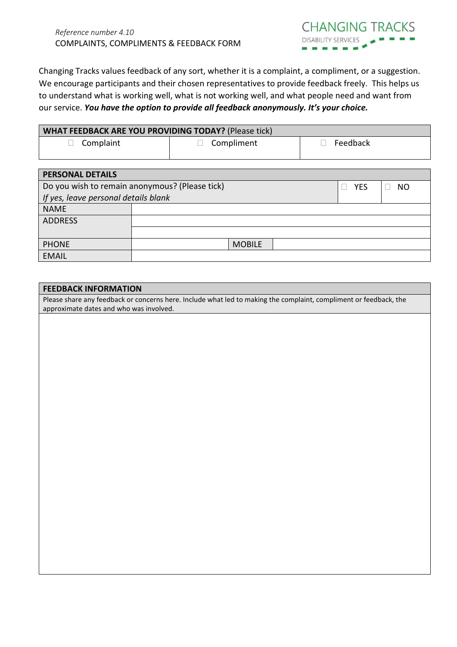

Changing Tracks values feedback of any sort, whether it is a complaint, a compliment, or a suggestion. We encourage participants and their chosen representatives to provide feedback freely. This helps us to understand what is working well, what is not working well, and what people need and want from our service. *You have the option to provide all feedback anonymously. It's your choice.*

| <b>WHAT FEEDBACK ARE YOU PROVIDING TODAY?</b> (Please tick) |                   |          |  |
|-------------------------------------------------------------|-------------------|----------|--|
| $\Box$ Complaint                                            | $\Box$ Compliment | Feedback |  |

| <b>PERSONAL DETAILS</b>                        |  |               |           |  |  |
|------------------------------------------------|--|---------------|-----------|--|--|
| Do you wish to remain anonymous? (Please tick) |  | <b>YES</b>    | <b>NO</b> |  |  |
| If yes, leave personal details blank           |  |               |           |  |  |
| <b>NAME</b>                                    |  |               |           |  |  |
| <b>ADDRESS</b>                                 |  |               |           |  |  |
|                                                |  |               |           |  |  |
| <b>PHONE</b>                                   |  | <b>MOBILE</b> |           |  |  |
| <b>EMAIL</b>                                   |  |               |           |  |  |

## **FEEDBACK INFORMATION**

Please share any feedback or concerns here. Include what led to making the complaint, compliment or feedback, the approximate dates and who was involved.